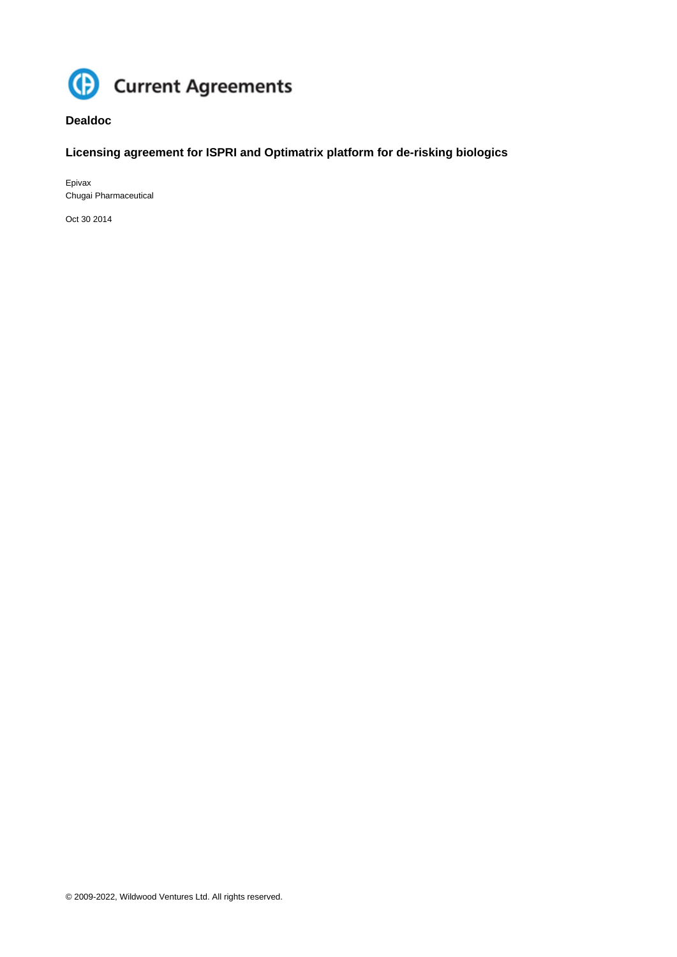

## **Dealdoc**

# **Licensing agreement for ISPRI and Optimatrix platform for de-risking biologics**

Epivax Chugai Pharmaceutical

Oct 30 2014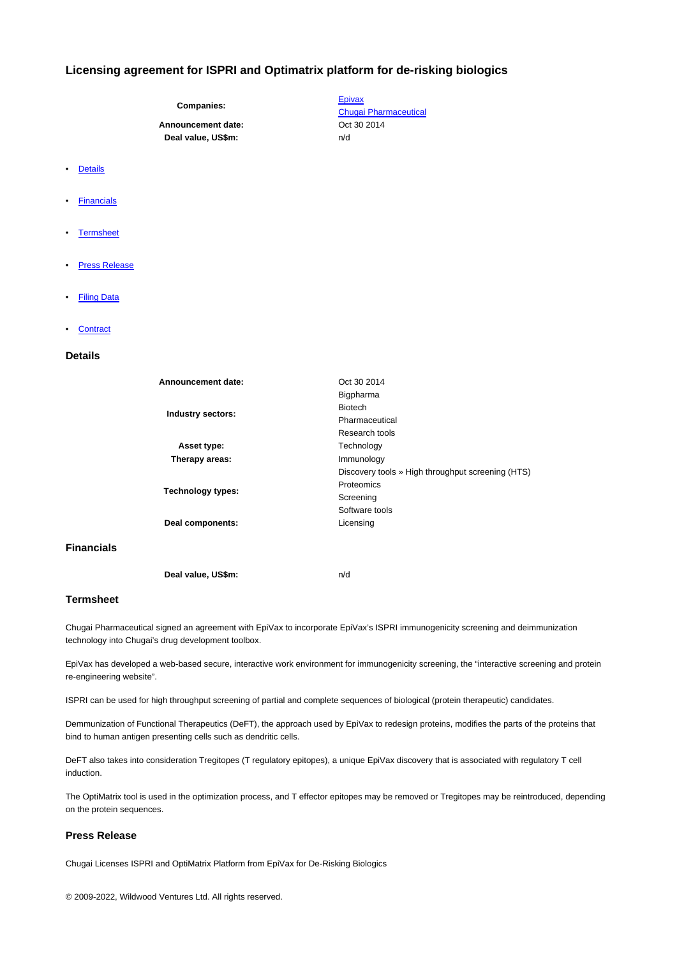## **Licensing agreement for ISPRI and Optimatrix platform for de-risking biologics**

**Companies:**

## Announcement date: Case Contract 2014 **Deal value, US\$m:** n/d

- Details
- **Financials**
- **Termsheet**
- **Press Release**
- Filing Data
- **Contract**

## **Details**

| Announcement date:       | Oct 30 2014                                       |
|--------------------------|---------------------------------------------------|
| Industry sectors:        | Bigpharma                                         |
|                          | <b>Biotech</b>                                    |
|                          | Pharmaceutical                                    |
|                          | Research tools                                    |
| Asset type:              | Technology                                        |
| Therapy areas:           | Immunology                                        |
|                          | Discovery tools » High throughput screening (HTS) |
| <b>Technology types:</b> | Proteomics                                        |
|                          | Screening                                         |
|                          | Software tools                                    |
| Deal components:         | Licensing                                         |
|                          |                                                   |
|                          |                                                   |
|                          |                                                   |
| Deal value, US\$m:       | n/d                                               |

#### **Termsheet**

**Financials**

Chugai Pharmaceutical signed an agreement with EpiVax to incorporate EpiVax's ISPRI immunogenicity screening and deimmunization technology into Chugai's drug development toolbox.

EpiVax has developed a web-based secure, interactive work environment for immunogenicity screening, the "interactive screening and protein re-engineering website".

ISPRI can be used for high throughput screening of partial and complete sequences of biological (protein therapeutic) candidates.

Demmunization of Functional Therapeutics (DeFT), the approach used by EpiVax to redesign proteins, modifies the parts of the proteins that bind to human antigen presenting cells such as dendritic cells.

DeFT also takes into consideration Tregitopes (T regulatory epitopes), a unique EpiVax discovery that is associated with regulatory T cell induction.

The OptiMatrix tool is used in the optimization process, and T effector epitopes may be removed or Tregitopes may be reintroduced, depending on the protein sequences.

## **Press Release**

Chugai Licenses ISPRI and OptiMatrix Platform from EpiVax for De-Risking Biologics

**Epivax** Chugai Pharmaceutical